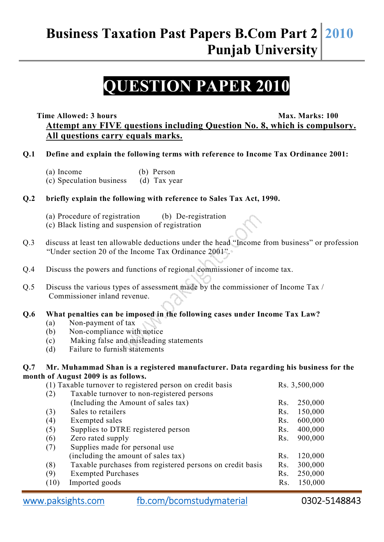## **Business Taxation Past Papers B.Com Part 2 Punjab University 2010**

# **QUESTION PAPER 2010**

**Time Allowed: 3 hours** Max. Marks: 100

**Attempt any FIVE questions including Question No. 8, which is compulsory. All questions carry equals marks.**

#### **Q.1 Define and explain the following terms with reference to Income Tax Ordinance 2001:**

- (a) Income (b) Person
- (c) Speculation business (d) Tax year

## **Q.2 briefly explain the following with reference to Sales Tax Act, 1990.**

- (a) Procedure of registration (b) De-registration (c) Black listing and suspension of registration
- Q.3 discuss at least ten allowable deductions under the head "Income from business" or profession "Under section 20 of the Income Tax Ordinance 2001".
- Q.4 Discuss the powers and functions of regional commissioner of income tax.
- Q.5 Discuss the various types of assessment made by the commissioner of Income Tax / Commissioner inland revenue.

## **Q.6 What penalties can be imposed in the following cases under Income Tax Law?**

- (a) Non-payment of tax
- (b) Non-compliance with notice
- (c) Making false and misleading statements
- (d) Failure to furnish statements

#### **Q.7 Mr. Muhammad Shan is a registered manufacturer. Data regarding his business for the month of August 2009 is as follows.**

| (1) Taxable turnover to registered person on credit basis |                                                           | Rs. 3,500,000 |         |
|-----------------------------------------------------------|-----------------------------------------------------------|---------------|---------|
| (2)                                                       | Taxable turnover to non-registered persons                |               |         |
|                                                           | (Including the Amount of sales tax)                       | Rs.           | 250,000 |
| (3)                                                       | Sales to retailers                                        | Rs.           | 150,000 |
| (4)                                                       | Exempted sales                                            | Rs.           | 600,000 |
| (5)                                                       | Supplies to DTRE registered person                        | Rs.           | 400,000 |
| (6)                                                       | Zero rated supply                                         | Rs.           | 900,000 |
| (7)                                                       | Supplies made for personal use                            |               |         |
|                                                           | (including the amount of sales tax)                       | Rs.           | 120,000 |
| (8)                                                       | Taxable purchases from registered persons on credit basis | Rs.           | 300,000 |
| (9)                                                       | <b>Exempted Purchases</b>                                 | Rs.           | 250,000 |
| (10)                                                      | Imported goods                                            | Rs.           | 150,000 |